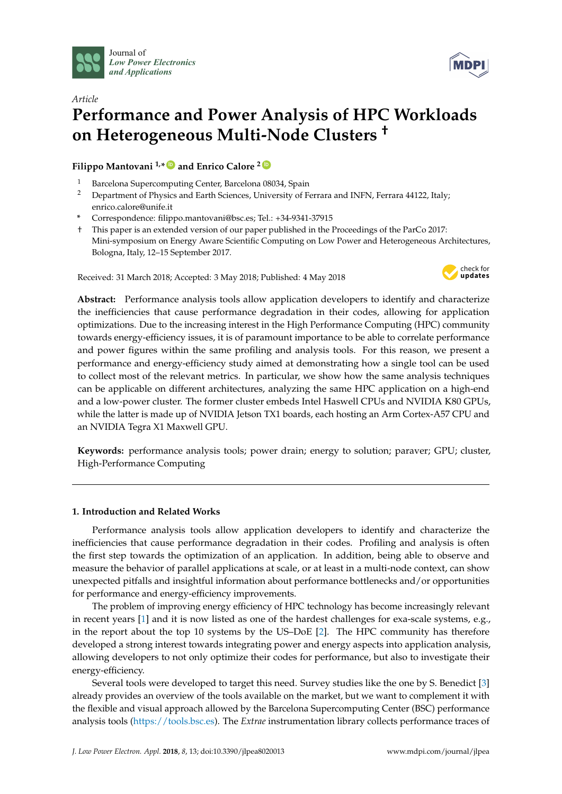



# *Article* **Performance and Power Analysis of HPC Workloads on Heterogeneous Multi-Node Clusters †**

**Filippo Mantovani 1,\* [ID](https://orcid.org/0000-0003-3559-4825) and Enrico Calore <sup>2</sup> [ID](https://orcid.org/0000-0002-2301-3838)**

- <sup>1</sup> Barcelona Supercomputing Center, Barcelona 08034, Spain<br><sup>2</sup> Department of Physics and Farth Sciences, University of E
- <sup>2</sup> Department of Physics and Earth Sciences, University of Ferrara and INFN, Ferrara 44122, Italy; enrico.calore@unife.it
- **\*** Correspondence: filippo.mantovani@bsc.es; Tel.: +34-9341-37915
- † This paper is an extended version of our paper published in the Proceedings of the ParCo 2017: Mini-symposium on Energy Aware Scientific Computing on Low Power and Heterogeneous Architectures, Bologna, Italy, 12–15 September 2017.

Received: 31 March 2018; Accepted: 3 May 2018; Published: 4 May 2018



**Abstract:** Performance analysis tools allow application developers to identify and characterize the inefficiencies that cause performance degradation in their codes, allowing for application optimizations. Due to the increasing interest in the High Performance Computing (HPC) community towards energy-efficiency issues, it is of paramount importance to be able to correlate performance and power figures within the same profiling and analysis tools. For this reason, we present a performance and energy-efficiency study aimed at demonstrating how a single tool can be used to collect most of the relevant metrics. In particular, we show how the same analysis techniques can be applicable on different architectures, analyzing the same HPC application on a high-end and a low-power cluster. The former cluster embeds Intel Haswell CPUs and NVIDIA K80 GPUs, while the latter is made up of NVIDIA Jetson TX1 boards, each hosting an Arm Cortex-A57 CPU and an NVIDIA Tegra X1 Maxwell GPU.

**Keywords:** performance analysis tools; power drain; energy to solution; paraver; GPU; cluster, High-Performance Computing

# **1. Introduction and Related Works**

Performance analysis tools allow application developers to identify and characterize the inefficiencies that cause performance degradation in their codes. Profiling and analysis is often the first step towards the optimization of an application. In addition, being able to observe and measure the behavior of parallel applications at scale, or at least in a multi-node context, can show unexpected pitfalls and insightful information about performance bottlenecks and/or opportunities for performance and energy-efficiency improvements.

The problem of improving energy efficiency of HPC technology has become increasingly relevant in recent years [\[1\]](#page-10-0) and it is now listed as one of the hardest challenges for exa-scale systems, e.g., in the report about the top 10 systems by the US–DoE [\[2\]](#page-10-1). The HPC community has therefore developed a strong interest towards integrating power and energy aspects into application analysis, allowing developers to not only optimize their codes for performance, but also to investigate their energy-efficiency.

Several tools were developed to target this need. Survey studies like the one by S. Benedict [\[3\]](#page-11-0) already provides an overview of the tools available on the market, but we want to complement it with the flexible and visual approach allowed by the Barcelona Supercomputing Center (BSC) performance analysis tools [\(https://tools.bsc.es\)](https://tools.bsc.es). The *Extrae* instrumentation library collects performance traces of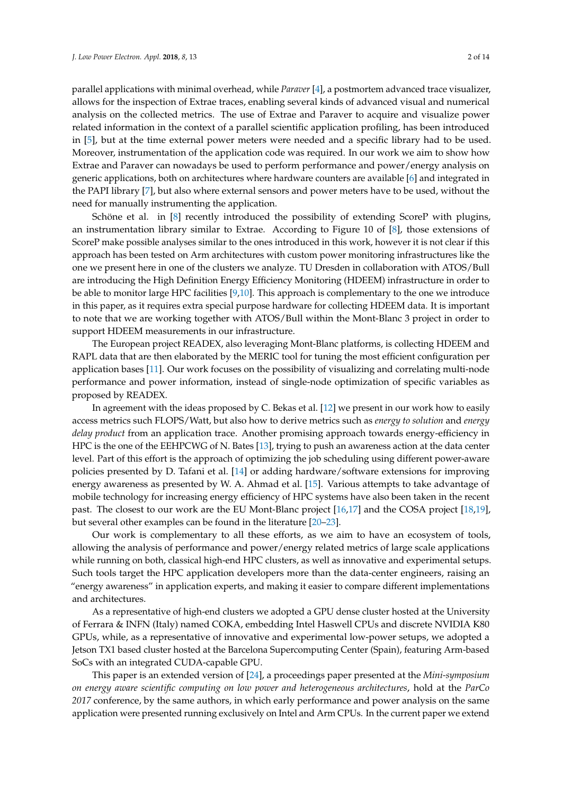parallel applications with minimal overhead, while *Paraver* [\[4\]](#page-11-1), a postmortem advanced trace visualizer, allows for the inspection of Extrae traces, enabling several kinds of advanced visual and numerical analysis on the collected metrics. The use of Extrae and Paraver to acquire and visualize power related information in the context of a parallel scientific application profiling, has been introduced in [\[5\]](#page-11-2), but at the time external power meters were needed and a specific library had to be used. Moreover, instrumentation of the application code was required. In our work we aim to show how Extrae and Paraver can nowadays be used to perform performance and power/energy analysis on generic applications, both on architectures where hardware counters are available [\[6\]](#page-11-3) and integrated in the PAPI library [\[7\]](#page-11-4), but also where external sensors and power meters have to be used, without the need for manually instrumenting the application.

Schöne et al. in [\[8\]](#page-11-5) recently introduced the possibility of extending ScoreP with plugins, an instrumentation library similar to Extrae. According to Figure 10 of [\[8\]](#page-11-5), those extensions of ScoreP make possible analyses similar to the ones introduced in this work, however it is not clear if this approach has been tested on Arm architectures with custom power monitoring infrastructures like the one we present here in one of the clusters we analyze. TU Dresden in collaboration with ATOS/Bull are introducing the High Definition Energy Efficiency Monitoring (HDEEM) infrastructure in order to be able to monitor large HPC facilities [\[9,](#page-11-6)[10\]](#page-11-7). This approach is complementary to the one we introduce in this paper, as it requires extra special purpose hardware for collecting HDEEM data. It is important to note that we are working together with ATOS/Bull within the Mont-Blanc 3 project in order to support HDEEM measurements in our infrastructure.

The European project READEX, also leveraging Mont-Blanc platforms, is collecting HDEEM and RAPL data that are then elaborated by the MERIC tool for tuning the most efficient configuration per application bases [\[11\]](#page-11-8). Our work focuses on the possibility of visualizing and correlating multi-node performance and power information, instead of single-node optimization of specific variables as proposed by READEX.

In agreement with the ideas proposed by C. Bekas et al. [\[12\]](#page-11-9) we present in our work how to easily access metrics such FLOPS/Watt, but also how to derive metrics such as *energy to solution* and *energy delay product* from an application trace. Another promising approach towards energy-efficiency in HPC is the one of the EEHPCWG of N. Bates [\[13\]](#page-11-10), trying to push an awareness action at the data center level. Part of this effort is the approach of optimizing the job scheduling using different power-aware policies presented by D. Tafani et al. [\[14\]](#page-11-11) or adding hardware/software extensions for improving energy awareness as presented by W. A. Ahmad et al. [\[15\]](#page-11-12). Various attempts to take advantage of mobile technology for increasing energy efficiency of HPC systems have also been taken in the recent past. The closest to our work are the EU Mont-Blanc project [\[16,](#page-11-13)[17\]](#page-11-14) and the COSA project [\[18,](#page-11-15)[19\]](#page-11-16), but several other examples can be found in the literature [\[20–](#page-12-0)[23\]](#page-12-1).

Our work is complementary to all these efforts, as we aim to have an ecosystem of tools, allowing the analysis of performance and power/energy related metrics of large scale applications while running on both, classical high-end HPC clusters, as well as innovative and experimental setups. Such tools target the HPC application developers more than the data-center engineers, raising an "energy awareness" in application experts, and making it easier to compare different implementations and architectures.

As a representative of high-end clusters we adopted a GPU dense cluster hosted at the University of Ferrara & INFN (Italy) named COKA, embedding Intel Haswell CPUs and discrete NVIDIA K80 GPUs, while, as a representative of innovative and experimental low-power setups, we adopted a Jetson TX1 based cluster hosted at the Barcelona Supercomputing Center (Spain), featuring Arm-based SoCs with an integrated CUDA-capable GPU.

This paper is an extended version of [\[24\]](#page-12-2), a proceedings paper presented at the *Mini-symposium on energy aware scientific computing on low power and heterogeneous architectures*, hold at the *ParCo 2017* conference, by the same authors, in which early performance and power analysis on the same application were presented running exclusively on Intel and Arm CPUs. In the current paper we extend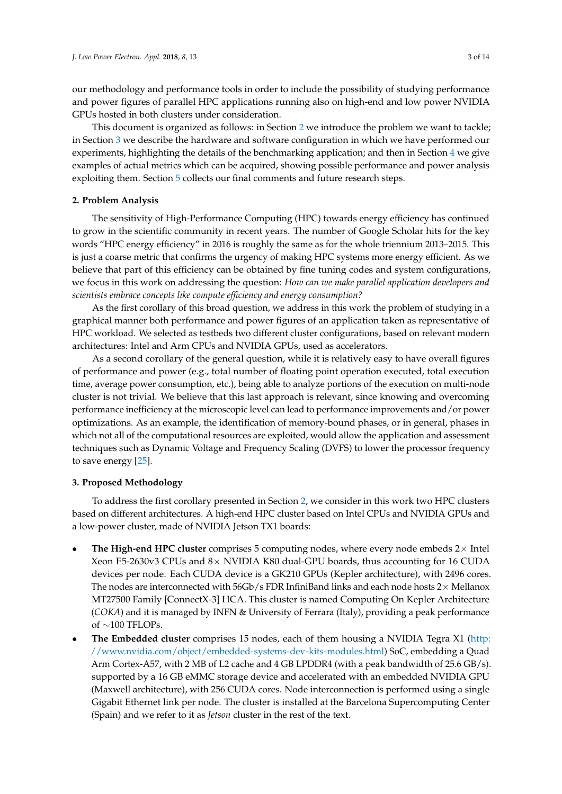our methodology and performance tools in order to include the possibility of studying performance and power figures of parallel HPC applications running also on high-end and low power NVIDIA GPUs hosted in both clusters under consideration.

This document is organized as follows: in Section [2](#page-2-0) we introduce the problem we want to tackle; in Section [3](#page-2-1) we describe the hardware and software configuration in which we have performed our experiments, highlighting the details of the benchmarking application; and then in Section [4](#page-4-0) we give examples of actual metrics which can be acquired, showing possible performance and power analysis exploiting them. Section [5](#page-10-2) collects our final comments and future research steps.

## <span id="page-2-0"></span>**2. Problem Analysis**

The sensitivity of High-Performance Computing (HPC) towards energy efficiency has continued to grow in the scientific community in recent years. The number of Google Scholar hits for the key words "HPC energy efficiency" in 2016 is roughly the same as for the whole triennium 2013–2015. This is just a coarse metric that confirms the urgency of making HPC systems more energy efficient. As we believe that part of this efficiency can be obtained by fine tuning codes and system configurations, we focus in this work on addressing the question: *How can we make parallel application developers and scientists embrace concepts like compute efficiency and energy consumption?*

As the first corollary of this broad question, we address in this work the problem of studying in a graphical manner both performance and power figures of an application taken as representative of HPC workload. We selected as testbeds two different cluster configurations, based on relevant modern architectures: Intel and Arm CPUs and NVIDIA GPUs, used as accelerators.

As a second corollary of the general question, while it is relatively easy to have overall figures of performance and power (e.g., total number of floating point operation executed, total execution time, average power consumption, etc.), being able to analyze portions of the execution on multi-node cluster is not trivial. We believe that this last approach is relevant, since knowing and overcoming performance inefficiency at the microscopic level can lead to performance improvements and/or power optimizations. As an example, the identification of memory-bound phases, or in general, phases in which not all of the computational resources are exploited, would allow the application and assessment techniques such as Dynamic Voltage and Frequency Scaling (DVFS) to lower the processor frequency to save energy [\[25\]](#page-12-3).

## <span id="page-2-1"></span>**3. Proposed Methodology**

To address the first corollary presented in Section [2,](#page-2-0) we consider in this work two HPC clusters based on different architectures. A high-end HPC cluster based on Intel CPUs and NVIDIA GPUs and a low-power cluster, made of NVIDIA Jetson TX1 boards:

- **The High-end HPC cluster** comprises 5 computing nodes, where every node embeds 2× Intel Xeon E5-2630v3 CPUs and 8× NVIDIA K80 dual-GPU boards, thus accounting for 16 CUDA devices per node. Each CUDA device is a GK210 GPUs (Kepler architecture), with 2496 cores. The nodes are interconnected with  $56Gb/s$  FDR InfiniBand links and each node hosts  $2\times$  Mellanox MT27500 Family [ConnectX-3] HCA. This cluster is named Computing On Kepler Architecture (*COKA*) and it is managed by INFN & University of Ferrara (Italy), providing a peak performance of ∼100 TFLOPs.
- **The Embedded cluster** comprises 15 nodes, each of them housing a NVIDIA Tegra X1 [\(http:](http://www.nvidia.com/object/embedded-systems-dev-kits-modules.html) [//www.nvidia.com/object/embedded-systems-dev-kits-modules.html\)](http://www.nvidia.com/object/embedded-systems-dev-kits-modules.html) SoC, embedding a Quad Arm Cortex-A57, with 2 MB of L2 cache and 4 GB LPDDR4 (with a peak bandwidth of 25.6 GB/s). supported by a 16 GB eMMC storage device and accelerated with an embedded NVIDIA GPU (Maxwell architecture), with 256 CUDA cores. Node interconnection is performed using a single Gigabit Ethernet link per node. The cluster is installed at the Barcelona Supercomputing Center (Spain) and we refer to it as *Jetson* cluster in the rest of the text.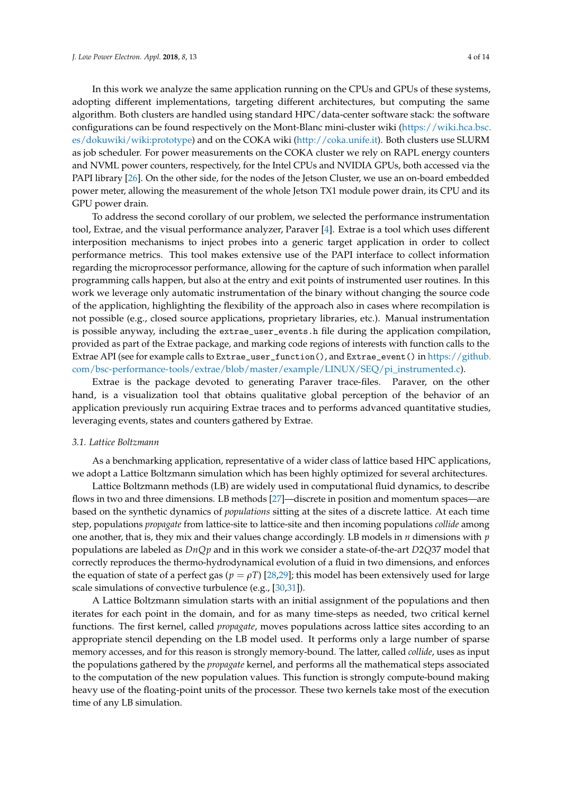In this work we analyze the same application running on the CPUs and GPUs of these systems, adopting different implementations, targeting different architectures, but computing the same algorithm. Both clusters are handled using standard HPC/data-center software stack: the software configurations can be found respectively on the Mont-Blanc mini-cluster wiki [\(https://wiki.hca.bsc.](https://wiki.hca.bsc.es/dokuwiki/wiki:prototype) [es/dokuwiki/wiki:prototype\)](https://wiki.hca.bsc.es/dokuwiki/wiki:prototype) and on the COKA wiki [\(http://coka.unife.it\)](http://coka.unife.it). Both clusters use SLURM as job scheduler. For power measurements on the COKA cluster we rely on RAPL energy counters and NVML power counters, respectively, for the Intel CPUs and NVIDIA GPUs, both accessed via the PAPI library [\[26\]](#page-12-4). On the other side, for the nodes of the Jetson Cluster, we use an on-board embedded power meter, allowing the measurement of the whole Jetson TX1 module power drain, its CPU and its GPU power drain.

To address the second corollary of our problem, we selected the performance instrumentation tool, Extrae, and the visual performance analyzer, Paraver [\[4\]](#page-11-1). Extrae is a tool which uses different interposition mechanisms to inject probes into a generic target application in order to collect performance metrics. This tool makes extensive use of the PAPI interface to collect information regarding the microprocessor performance, allowing for the capture of such information when parallel programming calls happen, but also at the entry and exit points of instrumented user routines. In this work we leverage only automatic instrumentation of the binary without changing the source code of the application, highlighting the flexibility of the approach also in cases where recompilation is not possible (e.g., closed source applications, proprietary libraries, etc.). Manual instrumentation is possible anyway, including the extrae\_user\_events.h file during the application compilation, provided as part of the Extrae package, and marking code regions of interests with function calls to the Extrae API (see for example calls to Extrae\_user\_function(), and Extrae\_event() in [https://github.](https://github.com/bsc-performance-tools/extrae/blob/master/example/LINUX/SEQ/pi_instrumented.c) [com/bsc-performance-tools/extrae/blob/master/example/LINUX/SEQ/pi\\_instrumented.c\)](https://github.com/bsc-performance-tools/extrae/blob/master/example/LINUX/SEQ/pi_instrumented.c).

Extrae is the package devoted to generating Paraver trace-files. Paraver, on the other hand, is a visualization tool that obtains qualitative global perception of the behavior of an application previously run acquiring Extrae traces and to performs advanced quantitative studies, leveraging events, states and counters gathered by Extrae.

#### <span id="page-3-0"></span>*3.1. Lattice Boltzmann*

As a benchmarking application, representative of a wider class of lattice based HPC applications, we adopt a Lattice Boltzmann simulation which has been highly optimized for several architectures.

Lattice Boltzmann methods (LB) are widely used in computational fluid dynamics, to describe flows in two and three dimensions. LB methods [\[27\]](#page-12-5)—discrete in position and momentum spaces—are based on the synthetic dynamics of *populations* sitting at the sites of a discrete lattice. At each time step, populations *propagate* from lattice-site to lattice-site and then incoming populations *collide* among one another, that is, they mix and their values change accordingly. LB models in *n* dimensions with *p* populations are labeled as *DnQp* and in this work we consider a state-of-the-art *D*2*Q*37 model that correctly reproduces the thermo-hydrodynamical evolution of a fluid in two dimensions, and enforces the equation of state of a perfect gas ( $p = \rho T$ ) [\[28](#page-12-6)[,29\]](#page-12-7); this model has been extensively used for large scale simulations of convective turbulence (e.g., [\[30,](#page-12-8)[31\]](#page-12-9)).

A Lattice Boltzmann simulation starts with an initial assignment of the populations and then iterates for each point in the domain, and for as many time-steps as needed, two critical kernel functions. The first kernel, called *propagate*, moves populations across lattice sites according to an appropriate stencil depending on the LB model used. It performs only a large number of sparse memory accesses, and for this reason is strongly memory-bound. The latter, called *collide*, uses as input the populations gathered by the *propagate* kernel, and performs all the mathematical steps associated to the computation of the new population values. This function is strongly compute-bound making heavy use of the floating-point units of the processor. These two kernels take most of the execution time of any LB simulation.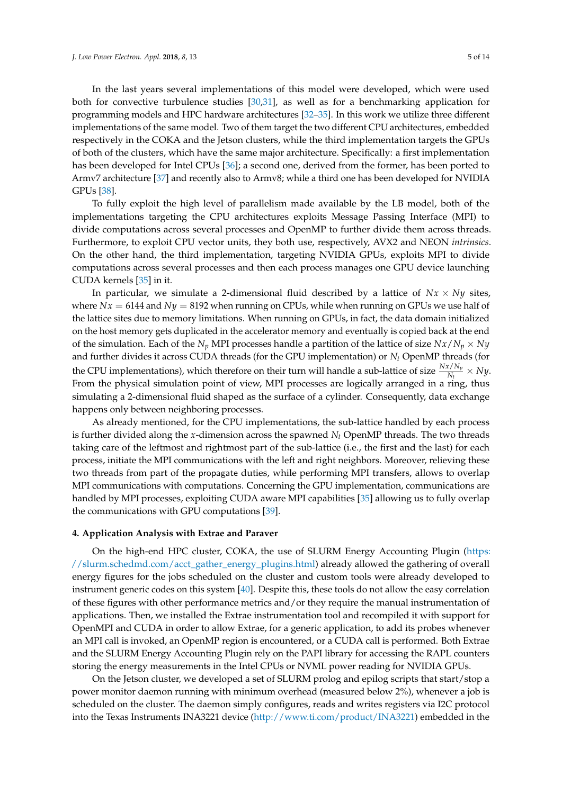In the last years several implementations of this model were developed, which were used both for convective turbulence studies [\[30,](#page-12-8)[31\]](#page-12-9), as well as for a benchmarking application for programming models and HPC hardware architectures [\[32](#page-12-10)[–35\]](#page-12-11). In this work we utilize three different implementations of the same model. Two of them target the two different CPU architectures, embedded respectively in the COKA and the Jetson clusters, while the third implementation targets the GPUs of both of the clusters, which have the same major architecture. Specifically: a first implementation has been developed for Intel CPUs [\[36\]](#page-12-12); a second one, derived from the former, has been ported to Armv7 architecture [\[37\]](#page-12-13) and recently also to Armv8; while a third one has been developed for NVIDIA GPUs [\[38\]](#page-12-14).

To fully exploit the high level of parallelism made available by the LB model, both of the implementations targeting the CPU architectures exploits Message Passing Interface (MPI) to divide computations across several processes and OpenMP to further divide them across threads. Furthermore, to exploit CPU vector units, they both use, respectively, AVX2 and NEON *intrinsics*. On the other hand, the third implementation, targeting NVIDIA GPUs, exploits MPI to divide computations across several processes and then each process manages one GPU device launching CUDA kernels [\[35\]](#page-12-11) in it.

In particular, we simulate a 2-dimensional fluid described by a lattice of  $Nx \times Ny$  sites, where  $Nx = 6144$  and  $Ny = 8192$  when running on CPUs, while when running on GPUs we use half of the lattice sites due to memory limitations. When running on GPUs, in fact, the data domain initialized on the host memory gets duplicated in the accelerator memory and eventually is copied back at the end of the simulation. Each of the *N<sub>p</sub>* MPI processes handle a partition of the lattice of size  $Nx/N_p \times Ny$ and further divides it across CUDA threads (for the GPU implementation) or *N<sup>t</sup>* OpenMP threads (for the CPU implementations), which therefore on their turn will handle a sub-lattice of size  $\frac{Nx/N_p}{N_t} \times Ny$ . From the physical simulation point of view, MPI processes are logically arranged in a ring, thus simulating a 2-dimensional fluid shaped as the surface of a cylinder. Consequently, data exchange happens only between neighboring processes.

As already mentioned, for the CPU implementations, the sub-lattice handled by each process is further divided along the *x*-dimension across the spawned *N<sup>t</sup>* OpenMP threads. The two threads taking care of the leftmost and rightmost part of the sub-lattice (i.e., the first and the last) for each process, initiate the MPI communications with the left and right neighbors. Moreover, relieving these two threads from part of the propagate duties, while performing MPI transfers, allows to overlap MPI communications with computations. Concerning the GPU implementation, communications are handled by MPI processes, exploiting CUDA aware MPI capabilities [\[35\]](#page-12-11) allowing us to fully overlap the communications with GPU computations [\[39\]](#page-13-0).

## <span id="page-4-0"></span>**4. Application Analysis with Extrae and Paraver**

On the high-end HPC cluster, COKA, the use of SLURM Energy Accounting Plugin [\(https:](https://slurm.schedmd.com/acct_gather_energy_plugins.html) [//slurm.schedmd.com/acct\\_gather\\_energy\\_plugins.html\)](https://slurm.schedmd.com/acct_gather_energy_plugins.html) already allowed the gathering of overall energy figures for the jobs scheduled on the cluster and custom tools were already developed to instrument generic codes on this system [\[40\]](#page-13-1). Despite this, these tools do not allow the easy correlation of these figures with other performance metrics and/or they require the manual instrumentation of applications. Then, we installed the Extrae instrumentation tool and recompiled it with support for OpenMPI and CUDA in order to allow Extrae, for a generic application, to add its probes whenever an MPI call is invoked, an OpenMP region is encountered, or a CUDA call is performed. Both Extrae and the SLURM Energy Accounting Plugin rely on the PAPI library for accessing the RAPL counters storing the energy measurements in the Intel CPUs or NVML power reading for NVIDIA GPUs.

On the Jetson cluster, we developed a set of SLURM prolog and epilog scripts that start/stop a power monitor daemon running with minimum overhead (measured below 2%), whenever a job is scheduled on the cluster. The daemon simply configures, reads and writes registers via I2C protocol into the Texas Instruments INA3221 device [\(http://www.ti.com/product/INA3221\)](http://www.ti.com/product/INA3221) embedded in the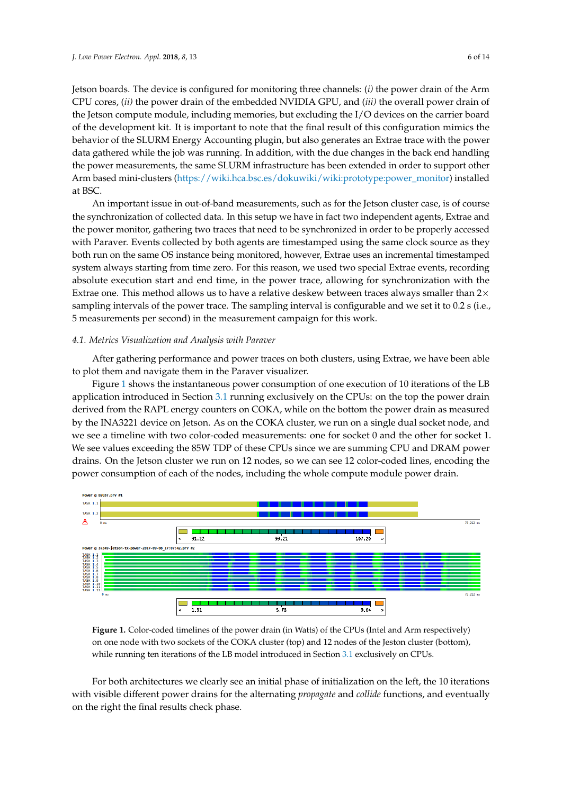Jetson boards. The device is configured for monitoring three channels: (*i)* the power drain of the Arm CPU cores, (*ii)* the power drain of the embedded NVIDIA GPU, and (*iii)* the overall power drain of the Jetson compute module, including memories, but excluding the I/O devices on the carrier board of the development kit. It is important to note that the final result of this configuration mimics the behavior of the SLURM Energy Accounting plugin, but also generates an Extrae trace with the power data gathered while the job was running. In addition, with the due changes in the back end handling the power measurements, the same SLURM infrastructure has been extended in order to support other Arm based mini-clusters [\(https://wiki.hca.bsc.es/dokuwiki/wiki:prototype:power\\_monitor\)](https://wiki.hca.bsc.es/dokuwiki/wiki:prototype:power_monitor) installed at BSC.

An important issue in out-of-band measurements, such as for the Jetson cluster case, is of course the synchronization of collected data. In this setup we have in fact two independent agents, Extrae and the power monitor, gathering two traces that need to be synchronized in order to be properly accessed with Paraver. Events collected by both agents are timestamped using the same clock source as they both run on the same OS instance being monitored, however, Extrae uses an incremental timestamped system always starting from time zero. For this reason, we used two special Extrae events, recording absolute execution start and end time, in the power trace, allowing for synchronization with the Extrae one. This method allows us to have a relative deskew between traces always smaller than  $2\times$ sampling intervals of the power trace. The sampling interval is configurable and we set it to 0.2 s (i.e., 5 measurements per second) in the measurement campaign for this work.

#### *4.1. Metrics Visualization and Analysis with Paraver*

After gathering performance and power traces on both clusters, using Extrae, we have been able to plot them and navigate them in the Paraver visualizer.

Figure [1](#page-5-0) shows the instantaneous power consumption of one execution of 10 iterations of the LB application introduced in Section [3.1](#page-3-0) running exclusively on the CPUs: on the top the power drain derived from the RAPL energy counters on COKA, while on the bottom the power drain as measured by the INA3221 device on Jetson. As on the COKA cluster, we run on a single dual socket node, and we see a timeline with two color-coded measurements: one for socket 0 and the other for socket 1. We see values exceeding the 85W TDP of these CPUs since we are summing CPU and DRAM power drains. On the Jetson cluster we run on 12 nodes, so we can see 12 color-coded lines, encoding the power consumption of each of the nodes, including the whole compute module power drain.

<span id="page-5-0"></span>

**Figure 1.** Color-coded timelines of the power drain (in Watts) of the CPUs (Intel and Arm respectively) on one node with two sockets of the COKA cluster (top) and 12 nodes of the Jeston cluster (bottom), while running ten iterations of the LB model introduced in Section [3.1](#page-3-0) exclusively on CPUs.

For both architectures we clearly see an initial phase of initialization on the left, the 10 iterations with visible different power drains for the alternating *propagate* and *collide* functions, and eventually on the right the final results check phase.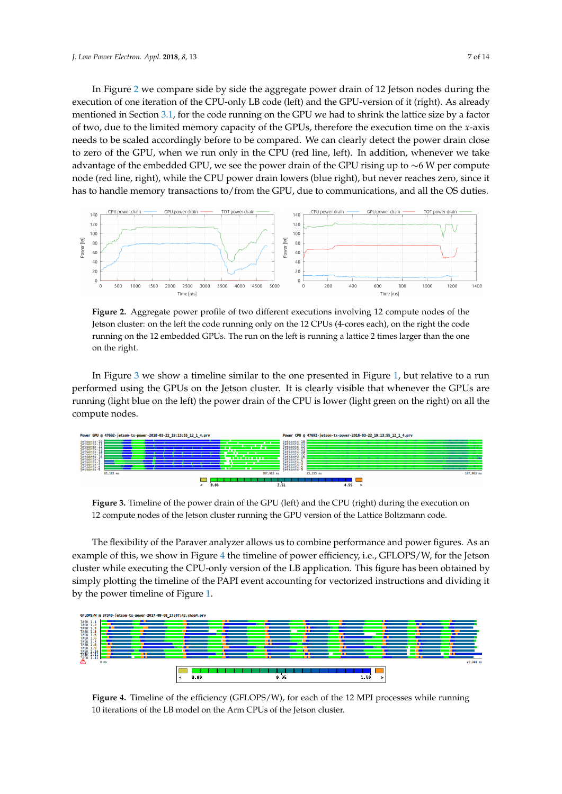In Figure [2](#page-6-0) we compare side by side the aggregate power drain of 12 Jetson nodes during the execution of one iteration of the CPU-only LB code (left) and the GPU-version of it (right). As already mentioned in Section [3.1,](#page-3-0) for the code running on the GPU we had to shrink the lattice size by a factor of two, due to the limited memory capacity of the GPUs, therefore the execution time on the *x*-axis needs to be scaled accordingly before to be compared. We can clearly detect the power drain close to zero of the GPU, when we run only in the CPU (red line, left). In addition, whenever we take advantage of the embedded GPU, we see the power drain of the GPU rising up to ∼6 W per compute node (red line, right), while the CPU power drain lowers (blue right), but never reaches zero, since it has to handle memory transactions to/from the GPU, due to communications, and all the OS duties.

<span id="page-6-0"></span>

**Figure 2.** Aggregate power profile of two different executions involving 12 compute nodes of the Jetson cluster: on the left the code running only on the 12 CPUs (4-cores each), on the right the code running on the 12 embedded GPUs. The run on the left is running a lattice 2 times larger than the one on the right.

In Figure [3](#page-6-1) we show a timeline similar to the one presented in Figure [1,](#page-5-0) but relative to a run performed using the GPUs on the Jetson cluster. It is clearly visible that whenever the GPUs are running (light blue on the left) the power drain of the CPU is lower (light green on the right) on all the compute nodes.

<span id="page-6-1"></span>

**Figure 3.** Timeline of the power drain of the GPU (left) and the CPU (right) during the execution on 12 compute nodes of the Jetson cluster running the GPU version of the Lattice Boltzmann code.

The flexibility of the Paraver analyzer allows us to combine performance and power figures. As an example of this, we show in Figure [4](#page-6-2) the timeline of power efficiency, i.e., GFLOPS/W, for the Jetson cluster while executing the CPU-only version of the LB application. This figure has been obtained by simply plotting the timeline of the PAPI event accounting for vectorized instructions and dividing it by the power timeline of Figure [1.](#page-5-0)

<span id="page-6-2"></span>

Figure 4. Timeline of the efficiency (GFLOPS/W), for each of the 12 MPI processes while running 10 iterations of the LB model on the Arm CPUs of the Jetson cluster.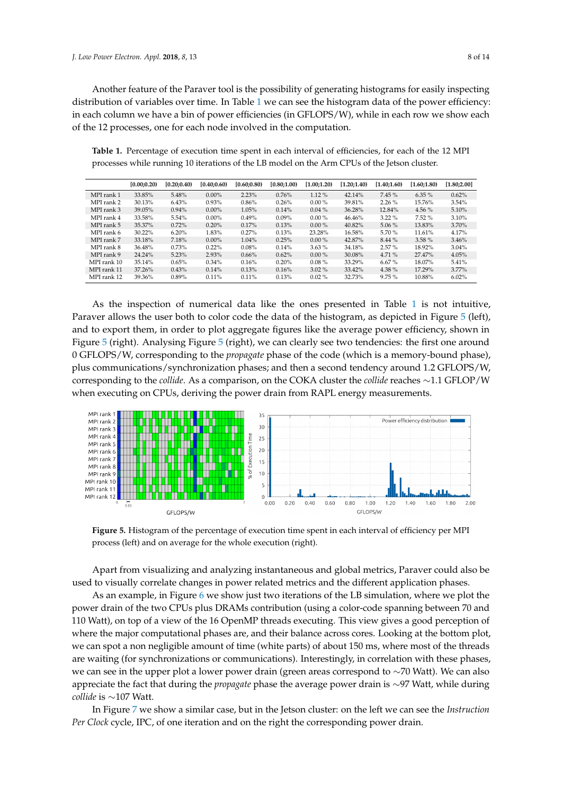Another feature of the Paraver tool is the possibility of generating histograms for easily inspecting distribution of variables over time. In Table [1](#page-7-0) we can see the histogram data of the power efficiency: in each column we have a bin of power efficiencies (in GFLOPS/W), while in each row we show each of the 12 processes, one for each node involved in the computation.

<span id="page-7-0"></span>**Table 1.** Percentage of execution time spent in each interval of efficiencies, for each of the 12 MPI processes while running 10 iterations of the LB model on the Arm CPUs of the Jetson cluster.

|             | [0.00; 0.20) | [0.20; 0.40] | [0.40:0.60] | [0.60:0.80] | (0.80;1.00) | [1.00:1.20] | [1.20;1.40] | [1.40;1.60] | [1.60:1.80] | [1.80;2.00] |
|-------------|--------------|--------------|-------------|-------------|-------------|-------------|-------------|-------------|-------------|-------------|
| MPI rank 1  | 33.85%       | 5.48%        | $0.00\%$    | 2.23%       | 0.76%       | $1.12\%$    | 42.14%      | 7.45%       | $6.35\%$    | 0.62%       |
| MPI rank 2  | 30.13%       | 6.43%        | 0.93%       | $0.86\%$    | 0.26%       | $0.00\%$    | 39.81%      | $2.26\%$    | 15.76%      | 3.54%       |
| MPI rank 3  | 39.05%       | 0.94%        | $0.00\%$    | 1.05%       | 0.14%       | $0.04\%$    | 36.28%      | 12.84%      | 4.56 $%$    | 5.10%       |
| MPI rank 4  | 33.58%       | 5.54%        | $0.00\%$    | $0.49\%$    | $0.09\%$    | $0.00\%$    | 46.46%      | $3.22\%$    | 7.52%       | 3.10%       |
| MPI rank 5  | 35.37%       | 0.72%        | 0.20%       | $0.17\%$    | 0.13%       | $0.00\%$    | 40.82%      | $5.06\%$    | 13.83%      | 3.70%       |
| MPI rank 6  | $30.22\%$    | 6.20%        | 1.83%       | $0.27\%$    | 0.13%       | 23.28%      | 16.58%      | 5.70 %      | 11.61%      | 4.17%       |
| MPI rank 7  | 33.18%       | 7.18%        | $0.00\%$    | 1.04%       | 0.25%       | $0.00\%$    | 42.87%      | 8.44 %      | 3.58%       | 3.46%       |
| MPI rank 8  | 36.48%       | 0.73%        | 0.22%       | 0.08%       | 0.14%       | $3.63\%$    | 34.18%      | 2.57%       | 18.92%      | 3.04%       |
| MPI rank 9  | 24.24%       | 5.23%        | 2.93%       | $0.66\%$    | 0.62%       | $0.00\%$    | 30.08%      | 4.71 %      | 27.47%      | 4.05%       |
| MPI rank 10 | 35.14%       | 0.65%        | $0.34\%$    | 0.16%       | 0.20%       | $0.08\%$    | 33.29%      | 6.67%       | 18.07%      | 5.41%       |
| MPI rank 11 | 37.26%       | 0.43%        | 0.14%       | 0.13%       | 0.16%       | $3.02\%$    | 33.42%      | 4.38 %      | 17.29%      | $3.77\%$    |
| MPI rank 12 | 39.36%       | $0.89\%$     | $0.11\%$    | 0.11%       | 0.13%       | $0.02\%$    | 32.73%      | 9.75%       | 10.88%      | 6.02%       |

As the inspection of numerical data like the ones presented in Table [1](#page-7-0) is not intuitive, Paraver allows the user both to color code the data of the histogram, as depicted in Figure [5](#page-7-1) (left), and to export them, in order to plot aggregate figures like the average power efficiency, shown in Figure [5](#page-7-1) (right). Analysing Figure [5](#page-7-1) (right), we can clearly see two tendencies: the first one around 0 GFLOPS/W, corresponding to the *propagate* phase of the code (which is a memory-bound phase), plus communications/synchronization phases; and then a second tendency around 1.2 GFLOPS/W, corresponding to the *collide*. As a comparison, on the COKA cluster the *collide* reaches ∼1.1 GFLOP/W when executing on CPUs, deriving the power drain from RAPL energy measurements.

<span id="page-7-1"></span>

**Figure 5.** Histogram of the percentage of execution time spent in each interval of efficiency per MPI process (left) and on average for the whole execution (right).

Apart from visualizing and analyzing instantaneous and global metrics, Paraver could also be used to visually correlate changes in power related metrics and the different application phases.

As an example, in Figure [6](#page-8-0) we show just two iterations of the LB simulation, where we plot the power drain of the two CPUs plus DRAMs contribution (using a color-code spanning between 70 and 110 Watt), on top of a view of the 16 OpenMP threads executing. This view gives a good perception of where the major computational phases are, and their balance across cores. Looking at the bottom plot, we can spot a non negligible amount of time (white parts) of about 150 ms, where most of the threads are waiting (for synchronizations or communications). Interestingly, in correlation with these phases, we can see in the upper plot a lower power drain (green areas correspond to ∼70 Watt). We can also appreciate the fact that during the *propagate* phase the average power drain is ∼97 Watt, while during *collide* is ∼107 Watt.

In Figure [7](#page-8-1) we show a similar case, but in the Jetson cluster: on the left we can see the *Instruction Per Clock* cycle, IPC, of one iteration and on the right the corresponding power drain.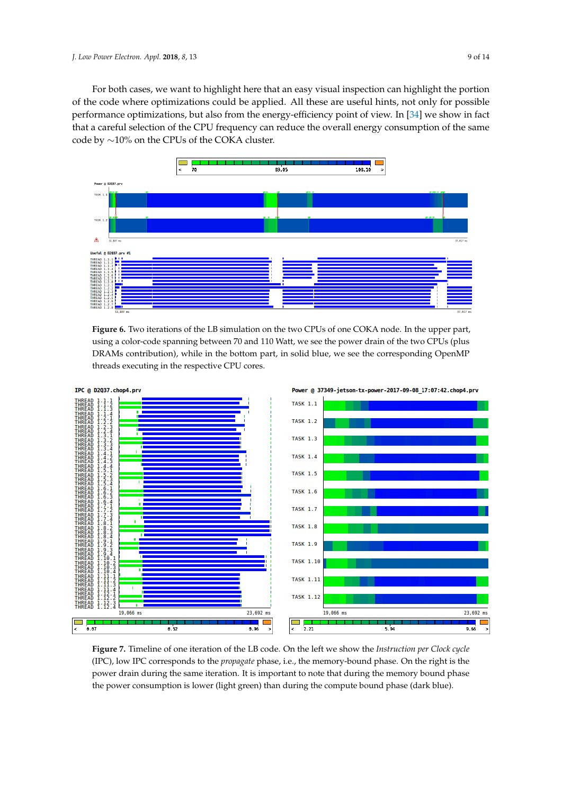For both cases, we want to highlight here that an easy visual inspection can highlight the portion of the code where optimizations could be applied. All these are useful hints, not only for possible performance optimizations, but also from the energy-efficiency point of view. In [\[34\]](#page-12-15) we show in fact that a careful selection of the CPU frequency can reduce the overall energy consumption of the same code by ∼10% on the CPUs of the COKA cluster.

<span id="page-8-0"></span>

**Figure 6.** Two iterations of the LB simulation on the two CPUs of one COKA node. In the upper part, using a color-code spanning between 70 and 110 Watt, we see the power drain of the two CPUs (plus DRAMs contribution), while in the bottom part, in solid blue, we see the corresponding OpenMP threads executing in the respective CPU cores.

<span id="page-8-1"></span>

**Figure 7.** Timeline of one iteration of the LB code. On the left we show the *Instruction per Clock cycle* (IPC), low IPC corresponds to the *propagate* phase, i.e., the memory-bound phase. On the right is the power drain during the same iteration. It is important to note that during the memory bound phase the power consumption is lower (light green) than during the compute bound phase (dark blue).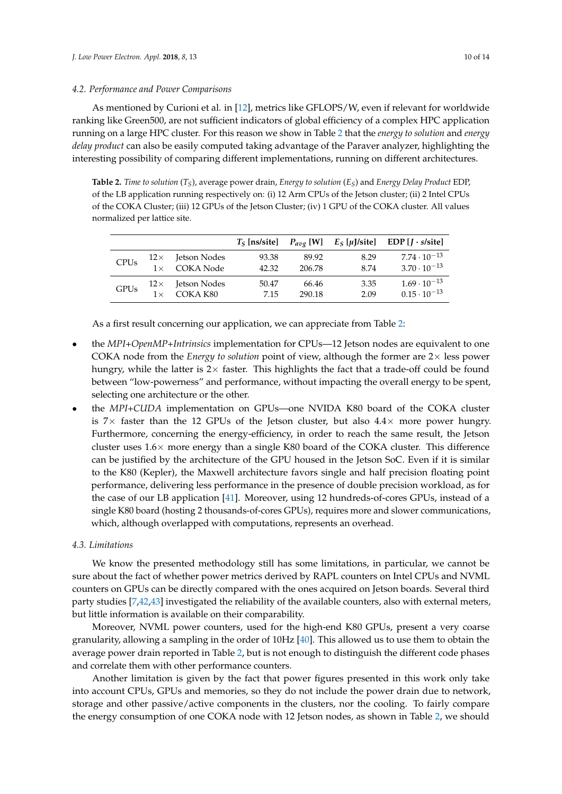#### *4.2. Performance and Power Comparisons*

As mentioned by Curioni et al. in [\[12\]](#page-11-9), metrics like GFLOPS/W, even if relevant for worldwide ranking like Green500, are not sufficient indicators of global efficiency of a complex HPC application running on a large HPC cluster. For this reason we show in Table [2](#page-9-0) that the *energy to solution* and *energy delay product* can also be easily computed taking advantage of the Paraver analyzer, highlighting the interesting possibility of comparing different implementations, running on different architectures.

<span id="page-9-0"></span>**Table 2.** *Time to solution* (*TS*), average power drain, *Energy to solution* (*ES*) and *Energy Delay Product* EDP, of the LB application running respectively on: (i) 12 Arm CPUs of the Jetson cluster; (ii) 2 Intel CPUs of the COKA Cluster; (iii) 12 GPUs of the Jetson Cluster; (iv) 1 GPU of the COKA cluster. All values normalized per lattice site.

|             |            |                  | $T_S$ [ns/site] |        |      | $P_{avg}$ [W] $E_S$ [µJ/site] EDP [J · s/site] |
|-------------|------------|------------------|-----------------|--------|------|------------------------------------------------|
| <b>CPUs</b> | $12\times$ | Jetson Nodes     | 93.38           | 89.92  | 8.29 | $7.74 \cdot 10^{-13}$                          |
|             | $1\times$  | <b>COKA Node</b> | 42.32           | 206.78 | 8.74 | $3.70 \cdot 10^{-13}$                          |
| <b>GPUs</b> | $12\times$ | Jetson Nodes     | 50.47           | 66.46  | 3.35 | $1.69 \cdot 10^{-13}$                          |
|             | $1 \times$ | COKA K80         | 7.15            | 290.18 | 2.09 | $0.15 \cdot 10^{-13}$                          |

As a first result concerning our application, we can appreciate from Table [2:](#page-9-0)

- the *MPI+OpenMP+Intrinsics* implementation for CPUs—12 Jetson nodes are equivalent to one COKA node from the *Energy to solution* point of view, although the former are 2× less power hungry, while the latter is  $2 \times$  faster. This highlights the fact that a trade-off could be found between "low-powerness" and performance, without impacting the overall energy to be spent, selecting one architecture or the other.
- the *MPI+CUDA* implementation on GPUs—one NVIDA K80 board of the COKA cluster is  $7\times$  faster than the 12 GPUs of the Jetson cluster, but also  $4.4\times$  more power hungry. Furthermore, concerning the energy-efficiency, in order to reach the same result, the Jetson cluster uses  $1.6\times$  more energy than a single K80 board of the COKA cluster. This difference can be justified by the architecture of the GPU housed in the Jetson SoC. Even if it is similar to the K80 (Kepler), the Maxwell architecture favors single and half precision floating point performance, delivering less performance in the presence of double precision workload, as for the case of our LB application [\[41\]](#page-13-2). Moreover, using 12 hundreds-of-cores GPUs, instead of a single K80 board (hosting 2 thousands-of-cores GPUs), requires more and slower communications, which, although overlapped with computations, represents an overhead.

#### *4.3. Limitations*

We know the presented methodology still has some limitations, in particular, we cannot be sure about the fact of whether power metrics derived by RAPL counters on Intel CPUs and NVML counters on GPUs can be directly compared with the ones acquired on Jetson boards. Several third party studies [\[7](#page-11-4)[,42](#page-13-3)[,43\]](#page-13-4) investigated the reliability of the available counters, also with external meters, but little information is available on their comparability.

Moreover, NVML power counters, used for the high-end K80 GPUs, present a very coarse granularity, allowing a sampling in the order of 10Hz [\[40\]](#page-13-1). This allowed us to use them to obtain the average power drain reported in Table [2,](#page-9-0) but is not enough to distinguish the different code phases and correlate them with other performance counters.

Another limitation is given by the fact that power figures presented in this work only take into account CPUs, GPUs and memories, so they do not include the power drain due to network, storage and other passive/active components in the clusters, nor the cooling. To fairly compare the energy consumption of one COKA node with 12 Jetson nodes, as shown in Table [2,](#page-9-0) we should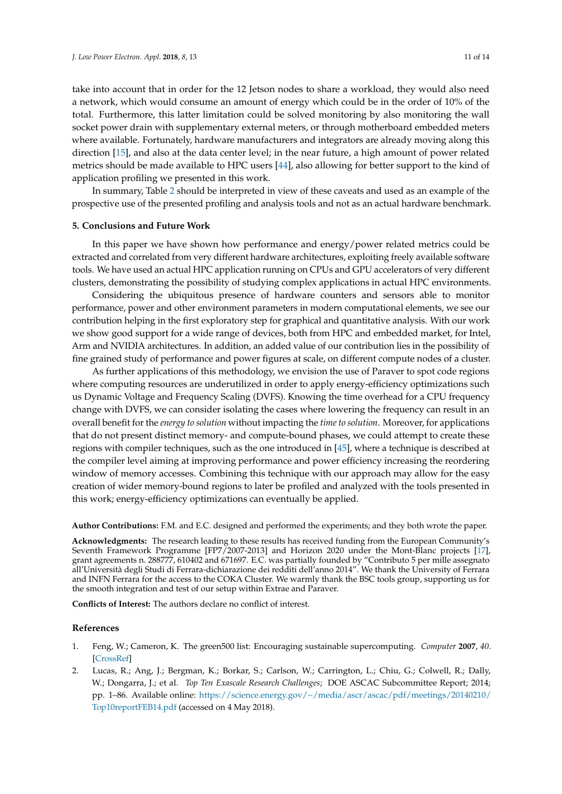take into account that in order for the 12 Jetson nodes to share a workload, they would also need a network, which would consume an amount of energy which could be in the order of 10% of the total. Furthermore, this latter limitation could be solved monitoring by also monitoring the wall socket power drain with supplementary external meters, or through motherboard embedded meters where available. Fortunately, hardware manufacturers and integrators are already moving along this direction [\[15\]](#page-11-12), and also at the data center level; in the near future, a high amount of power related metrics should be made available to HPC users [\[44\]](#page-13-5), also allowing for better support to the kind of application profiling we presented in this work.

In summary, Table [2](#page-9-0) should be interpreted in view of these caveats and used as an example of the prospective use of the presented profiling and analysis tools and not as an actual hardware benchmark.

#### <span id="page-10-2"></span>**5. Conclusions and Future Work**

In this paper we have shown how performance and energy/power related metrics could be extracted and correlated from very different hardware architectures, exploiting freely available software tools. We have used an actual HPC application running on CPUs and GPU accelerators of very different clusters, demonstrating the possibility of studying complex applications in actual HPC environments.

Considering the ubiquitous presence of hardware counters and sensors able to monitor performance, power and other environment parameters in modern computational elements, we see our contribution helping in the first exploratory step for graphical and quantitative analysis. With our work we show good support for a wide range of devices, both from HPC and embedded market, for Intel, Arm and NVIDIA architectures. In addition, an added value of our contribution lies in the possibility of fine grained study of performance and power figures at scale, on different compute nodes of a cluster.

As further applications of this methodology, we envision the use of Paraver to spot code regions where computing resources are underutilized in order to apply energy-efficiency optimizations such us Dynamic Voltage and Frequency Scaling (DVFS). Knowing the time overhead for a CPU frequency change with DVFS, we can consider isolating the cases where lowering the frequency can result in an overall benefit for the *energy to solution* without impacting the *time to solution*. Moreover, for applications that do not present distinct memory- and compute-bound phases, we could attempt to create these regions with compiler techniques, such as the one introduced in [\[45\]](#page-13-6), where a technique is described at the compiler level aiming at improving performance and power efficiency increasing the reordering window of memory accesses. Combining this technique with our approach may allow for the easy creation of wider memory-bound regions to later be profiled and analyzed with the tools presented in this work; energy-efficiency optimizations can eventually be applied.

**Author Contributions:** F.M. and E.C. designed and performed the experiments; and they both wrote the paper.

**Acknowledgments:** The research leading to these results has received funding from the European Community's Seventh Framework Programme [FP7/2007-2013] and Horizon 2020 under the Mont-Blanc projects [\[17\]](#page-11-14), grant agreements n. 288777, 610402 and 671697. E.C. was partially founded by "Contributo 5 per mille assegnato all'Università degli Studi di Ferrara-dichiarazione dei redditi dell'anno 2014". We thank the University of Ferrara and INFN Ferrara for the access to the COKA Cluster. We warmly thank the BSC tools group, supporting us for the smooth integration and test of our setup within Extrae and Paraver.

**Conflicts of Interest:** The authors declare no conflict of interest.

#### **References**

- <span id="page-10-0"></span>1. Feng, W.; Cameron, K. The green500 list: Encouraging sustainable supercomputing. *Computer* **2007**, *40*. [\[CrossRef\]](http://dx.doi.org/10.1109/MC.2007.445)
- <span id="page-10-1"></span>2. Lucas, R.; Ang, J.; Bergman, K.; Borkar, S.; Carlson, W.; Carrington, L.; Chiu, G.; Colwell, R.; Dally, W.; Dongarra, J.; et al. *Top Ten Exascale Research Challenges*; DOE ASCAC Subcommittee Report; 2014; pp. 1–86. Available online: [https://science.energy.gov/~/media/ascr/ascac/pdf/meetings/20140210/](https://science.energy.gov/~/media/ascr/ascac/pdf/meetings/20140210/Top10reportFEB14.pdf) [Top10reportFEB14.pdf](https://science.energy.gov/~/media/ascr/ascac/pdf/meetings/20140210/Top10reportFEB14.pdf) (accessed on 4 May 2018).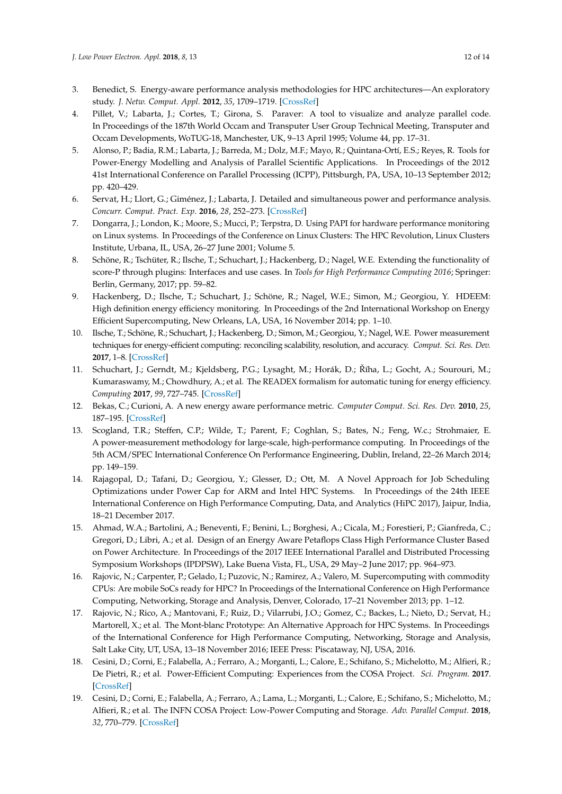- <span id="page-11-0"></span>3. Benedict, S. Energy-aware performance analysis methodologies for HPC architectures—An exploratory study. *J. Netw. Comput. Appl.* **2012**, *35*, 1709–1719. [\[CrossRef\]](http://dx.doi.org/10.1016/j.jnca.2012.08.003)
- <span id="page-11-1"></span>4. Pillet, V.; Labarta, J.; Cortes, T.; Girona, S. Paraver: A tool to visualize and analyze parallel code. In Proceedings of the 187th World Occam and Transputer User Group Technical Meeting, Transputer and Occam Developments, WoTUG-18, Manchester, UK, 9–13 April 1995; Volume 44, pp. 17–31.
- <span id="page-11-2"></span>5. Alonso, P.; Badia, R.M.; Labarta, J.; Barreda, M.; Dolz, M.F.; Mayo, R.; Quintana-Ortí, E.S.; Reyes, R. Tools for Power-Energy Modelling and Analysis of Parallel Scientific Applications. In Proceedings of the 2012 41st International Conference on Parallel Processing (ICPP), Pittsburgh, PA, USA, 10–13 September 2012; pp. 420–429.
- <span id="page-11-3"></span>6. Servat, H.; Llort, G.; Giménez, J.; Labarta, J. Detailed and simultaneous power and performance analysis. *Concurr. Comput. Pract. Exp.* **2016**, *28*, 252–273. [\[CrossRef\]](http://dx.doi.org/10.1002/cpe.3188)
- <span id="page-11-4"></span>7. Dongarra, J.; London, K.; Moore, S.; Mucci, P.; Terpstra, D. Using PAPI for hardware performance monitoring on Linux systems. In Proceedings of the Conference on Linux Clusters: The HPC Revolution, Linux Clusters Institute, Urbana, IL, USA, 26–27 June 2001; Volume 5.
- <span id="page-11-5"></span>8. Schöne, R.; Tschüter, R.; Ilsche, T.; Schuchart, J.; Hackenberg, D.; Nagel, W.E. Extending the functionality of score-P through plugins: Interfaces and use cases. In *Tools for High Performance Computing 2016*; Springer: Berlin, Germany, 2017; pp. 59–82.
- <span id="page-11-6"></span>9. Hackenberg, D.; Ilsche, T.; Schuchart, J.; Schöne, R.; Nagel, W.E.; Simon, M.; Georgiou, Y. HDEEM: High definition energy efficiency monitoring. In Proceedings of the 2nd International Workshop on Energy Efficient Supercomputing, New Orleans, LA, USA, 16 November 2014; pp. 1–10.
- <span id="page-11-7"></span>10. Ilsche, T.; Schöne, R.; Schuchart, J.; Hackenberg, D.; Simon, M.; Georgiou, Y.; Nagel, W.E. Power measurement techniques for energy-efficient computing: reconciling scalability, resolution, and accuracy. *Comput. Sci. Res. Dev.* **2017**, 1–8. [\[CrossRef\]](http://dx.doi.org/10.1007/s00450-018-0392-9)
- <span id="page-11-8"></span>11. Schuchart, J.; Gerndt, M.; Kjeldsberg, P.G.; Lysaght, M.; Horák, D.; Říha, L.; Gocht, A.; Sourouri, M.; Kumaraswamy, M.; Chowdhury, A.; et al. The READEX formalism for automatic tuning for energy efficiency. *Computing* **2017**, *99*, 727–745. [\[CrossRef\]](http://dx.doi.org/10.1007/s00607-016-0532-7)
- <span id="page-11-9"></span>12. Bekas, C.; Curioni, A. A new energy aware performance metric. *Computer Comput. Sci. Res. Dev.* **2010**, *25*, 187–195. [\[CrossRef\]](http://dx.doi.org/10.1007/s00450-010-0119-z)
- <span id="page-11-10"></span>13. Scogland, T.R.; Steffen, C.P.; Wilde, T.; Parent, F.; Coghlan, S.; Bates, N.; Feng, W.c.; Strohmaier, E. A power-measurement methodology for large-scale, high-performance computing. In Proceedings of the 5th ACM/SPEC International Conference On Performance Engineering, Dublin, Ireland, 22–26 March 2014; pp. 149–159.
- <span id="page-11-11"></span>14. Rajagopal, D.; Tafani, D.; Georgiou, Y.; Glesser, D.; Ott, M. A Novel Approach for Job Scheduling Optimizations under Power Cap for ARM and Intel HPC Systems. In Proceedings of the 24th IEEE International Conference on High Performance Computing, Data, and Analytics (HiPC 2017), Jaipur, India, 18–21 December 2017.
- <span id="page-11-12"></span>15. Ahmad, W.A.; Bartolini, A.; Beneventi, F.; Benini, L.; Borghesi, A.; Cicala, M.; Forestieri, P.; Gianfreda, C.; Gregori, D.; Libri, A.; et al. Design of an Energy Aware Petaflops Class High Performance Cluster Based on Power Architecture. In Proceedings of the 2017 IEEE International Parallel and Distributed Processing Symposium Workshops (IPDPSW), Lake Buena Vista, FL, USA, 29 May–2 June 2017; pp. 964–973.
- <span id="page-11-13"></span>16. Rajovic, N.; Carpenter, P.; Gelado, I.; Puzovic, N.; Ramirez, A.; Valero, M. Supercomputing with commodity CPUs: Are mobile SoCs ready for HPC? In Proceedings of the International Conference on High Performance Computing, Networking, Storage and Analysis, Denver, Colorado, 17–21 November 2013; pp. 1–12.
- <span id="page-11-14"></span>17. Rajovic, N.; Rico, A.; Mantovani, F.; Ruiz, D.; Vilarrubi, J.O.; Gomez, C.; Backes, L.; Nieto, D.; Servat, H.; Martorell, X.; et al. The Mont-blanc Prototype: An Alternative Approach for HPC Systems. In Proceedings of the International Conference for High Performance Computing, Networking, Storage and Analysis, Salt Lake City, UT, USA, 13–18 November 2016; IEEE Press: Piscataway, NJ, USA, 2016.
- <span id="page-11-15"></span>18. Cesini, D.; Corni, E.; Falabella, A.; Ferraro, A.; Morganti, L.; Calore, E.; Schifano, S.; Michelotto, M.; Alfieri, R.; De Pietri, R.; et al. Power-Efficient Computing: Experiences from the COSA Project. *Sci. Program.* **2017**. [\[CrossRef\]](http://dx.doi.org/10.1155/2017/7206595)
- <span id="page-11-16"></span>19. Cesini, D.; Corni, E.; Falabella, A.; Ferraro, A.; Lama, L.; Morganti, L.; Calore, E.; Schifano, S.; Michelotto, M.; Alfieri, R.; et al. The INFN COSA Project: Low-Power Computing and Storage. *Adv. Parallel Comput.* **2018**, *32*, 770–779. [\[CrossRef\]](http://dx.doi.org/10.3233/978-1-61499-843-3-770)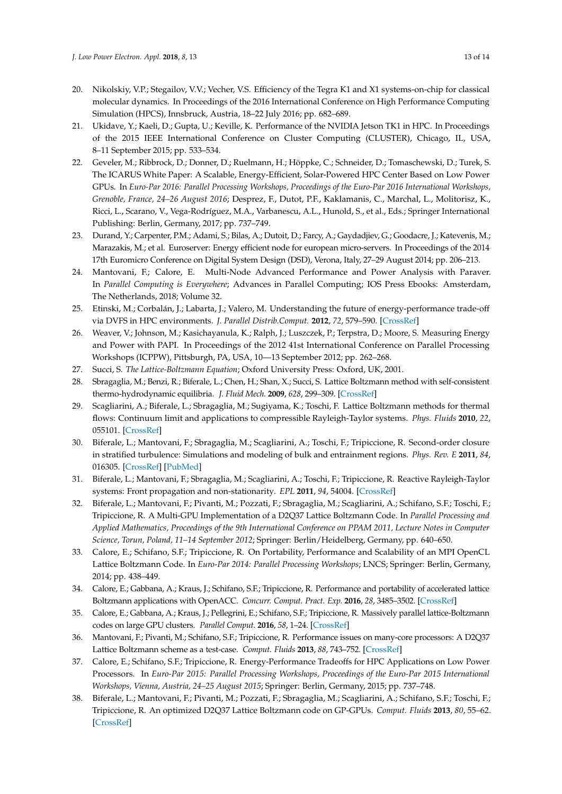- <span id="page-12-0"></span>20. Nikolskiy, V.P.; Stegailov, V.V.; Vecher, V.S. Efficiency of the Tegra K1 and X1 systems-on-chip for classical molecular dynamics. In Proceedings of the 2016 International Conference on High Performance Computing Simulation (HPCS), Innsbruck, Austria, 18–22 July 2016; pp. 682–689.
- 21. Ukidave, Y.; Kaeli, D.; Gupta, U.; Keville, K. Performance of the NVIDIA Jetson TK1 in HPC. In Proceedings of the 2015 IEEE International Conference on Cluster Computing (CLUSTER), Chicago, IL, USA, 8–11 September 2015; pp. 533–534.
- 22. Geveler, M.; Ribbrock, D.; Donner, D.; Ruelmann, H.; Höppke, C.; Schneider, D.; Tomaschewski, D.; Turek, S. The ICARUS White Paper: A Scalable, Energy-Efficient, Solar-Powered HPC Center Based on Low Power GPUs. In *Euro-Par 2016: Parallel Processing Workshops, Proceedings of the Euro-Par 2016 International Workshops, Grenoble, France, 24–26 August 2016*; Desprez, F., Dutot, P.F., Kaklamanis, C., Marchal, L., Molitorisz, K., Ricci, L., Scarano, V., Vega-Rodríguez, M.A., Varbanescu, A.L., Hunold, S., et al., Eds.; Springer International Publishing: Berlin, Germany, 2017; pp. 737–749.
- <span id="page-12-1"></span>23. Durand, Y.; Carpenter, P.M.; Adami, S.; Bilas, A.; Dutoit, D.; Farcy, A.; Gaydadjiev, G.; Goodacre, J.; Katevenis, M.; Marazakis, M.; et al. Euroserver: Energy efficient node for european micro-servers. In Proceedings of the 2014 17th Euromicro Conference on Digital System Design (DSD), Verona, Italy, 27–29 August 2014; pp. 206–213.
- <span id="page-12-2"></span>24. Mantovani, F.; Calore, E. Multi-Node Advanced Performance and Power Analysis with Paraver. In *Parallel Computing is Everywhere*; Advances in Parallel Computing; IOS Press Ebooks: Amsterdam, The Netherlands, 2018; Volume 32.
- <span id="page-12-3"></span>25. Etinski, M.; Corbalán, J.; Labarta, J.; Valero, M. Understanding the future of energy-performance trade-off via DVFS in HPC environments. *J. Parallel Distrib.Comput.* **2012**, *72*, 579–590. [\[CrossRef\]](http://dx.doi.org/10.1016/j.jpdc.2012.01.006)
- <span id="page-12-4"></span>26. Weaver, V.; Johnson, M.; Kasichayanula, K.; Ralph, J.; Luszczek, P.; Terpstra, D.; Moore, S. Measuring Energy and Power with PAPI. In Proceedings of the 2012 41st International Conference on Parallel Processing Workshops (ICPPW), Pittsburgh, PA, USA, 10—13 September 2012; pp. 262–268.
- <span id="page-12-5"></span>27. Succi, S. *The Lattice-Boltzmann Equation*; Oxford University Press: Oxford, UK, 2001.
- <span id="page-12-6"></span>28. Sbragaglia, M.; Benzi, R.; Biferale, L.; Chen, H.; Shan, X.; Succi, S. Lattice Boltzmann method with self-consistent thermo-hydrodynamic equilibria. *J. Fluid Mech.* **2009**, *628*, 299–309. [\[CrossRef\]](http://dx.doi.org/10.1017/S002211200900665X)
- <span id="page-12-7"></span>29. Scagliarini, A.; Biferale, L.; Sbragaglia, M.; Sugiyama, K.; Toschi, F. Lattice Boltzmann methods for thermal flows: Continuum limit and applications to compressible Rayleigh-Taylor systems. *Phys. Fluids* **2010**, *22*, 055101. [\[CrossRef\]](http://dx.doi.org/10.1063/1.3392774)
- <span id="page-12-8"></span>30. Biferale, L.; Mantovani, F.; Sbragaglia, M.; Scagliarini, A.; Toschi, F.; Tripiccione, R. Second-order closure in stratified turbulence: Simulations and modeling of bulk and entrainment regions. *Phys. Rev. E* **2011**, *84*, 016305. [\[CrossRef\]](http://dx.doi.org/10.1103/PhysRevE.84.016305) [\[PubMed\]](http://www.ncbi.nlm.nih.gov/pubmed/21867302)
- <span id="page-12-9"></span>31. Biferale, L.; Mantovani, F.; Sbragaglia, M.; Scagliarini, A.; Toschi, F.; Tripiccione, R. Reactive Rayleigh-Taylor systems: Front propagation and non-stationarity. *EPL* **2011**, *94*, 54004. [\[CrossRef\]](http://dx.doi.org/10.1209/0295-5075/94/54004)
- <span id="page-12-10"></span>32. Biferale, L.; Mantovani, F.; Pivanti, M.; Pozzati, F.; Sbragaglia, M.; Scagliarini, A.; Schifano, S.F.; Toschi, F.; Tripiccione, R. A Multi-GPU Implementation of a D2Q37 Lattice Boltzmann Code. In *Parallel Processing and Applied Mathematics, Proceedings of the 9th International Conference on PPAM 2011, Lecture Notes in Computer Science, Torun, Poland, 11–14 September 2012*; Springer: Berlin/Heidelberg, Germany, pp. 640–650.
- 33. Calore, E.; Schifano, S.F.; Tripiccione, R. On Portability, Performance and Scalability of an MPI OpenCL Lattice Boltzmann Code. In *Euro-Par 2014: Parallel Processing Workshops*; LNCS; Springer: Berlin, Germany, 2014; pp. 438–449.
- <span id="page-12-15"></span>34. Calore, E.; Gabbana, A.; Kraus, J.; Schifano, S.F.; Tripiccione, R. Performance and portability of accelerated lattice Boltzmann applications with OpenACC. *Concurr. Comput. Pract. Exp.* **2016**, *28*, 3485–3502. [\[CrossRef\]](http://dx.doi.org/10.1002/cpe.3862)
- <span id="page-12-11"></span>35. Calore, E.; Gabbana, A.; Kraus, J.; Pellegrini, E.; Schifano, S.F.; Tripiccione, R. Massively parallel lattice-Boltzmann codes on large GPU clusters. *Parallel Comput.* **2016**, *58*, 1–24. [\[CrossRef\]](http://dx.doi.org/10.1016/j.parco.2016.08.005)
- <span id="page-12-12"></span>36. Mantovani, F.; Pivanti, M.; Schifano, S.F.; Tripiccione, R. Performance issues on many-core processors: A D2Q37 Lattice Boltzmann scheme as a test-case. *Comput. Fluids* **2013**, *88*, 743–752. [\[CrossRef\]](http://dx.doi.org/10.1016/j.compfluid.2013.05.014)
- <span id="page-12-13"></span>37. Calore, E.; Schifano, S.F.; Tripiccione, R. Energy-Performance Tradeoffs for HPC Applications on Low Power Processors. In *Euro-Par 2015: Parallel Processing Workshops, Proceedings of the Euro-Par 2015 International Workshops, Vienna, Austria, 24–25 August 2015*; Springer: Berlin, Germany, 2015; pp. 737–748.
- <span id="page-12-14"></span>38. Biferale, L.; Mantovani, F.; Pivanti, M.; Pozzati, F.; Sbragaglia, M.; Scagliarini, A.; Schifano, S.F.; Toschi, F.; Tripiccione, R. An optimized D2Q37 Lattice Boltzmann code on GP-GPUs. *Comput. Fluids* **2013**, *80*, 55–62. [\[CrossRef\]](http://dx.doi.org/10.1016/j.compfluid.2012.06.003)